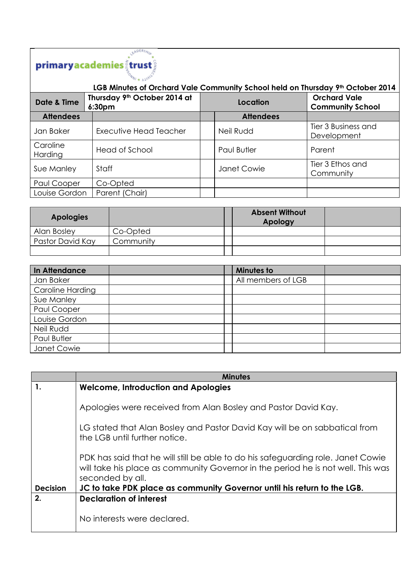## 

| LGB Minutes of Orchard Vale Community School held on Thursday 9th October 2014 |                                                    |          |                  |                                                |
|--------------------------------------------------------------------------------|----------------------------------------------------|----------|------------------|------------------------------------------------|
| Date & Time                                                                    | Thursday 9th October 2014 at<br>6:30 <sub>pm</sub> | Location |                  | <b>Orchard Vale</b><br><b>Community School</b> |
| <b>Attendees</b>                                                               |                                                    |          | <b>Attendees</b> |                                                |
| Jan Baker                                                                      | Executive Head Teacher                             |          | Neil Rudd        | Tier 3 Business and<br>Development             |
| Caroline<br>Harding                                                            | Head of School                                     |          | Paul Butler      | Parent                                         |
| Sue Manley                                                                     | Staff                                              |          | Janet Cowie      | Tier 3 Ethos and<br>Community                  |
| Paul Cooper                                                                    | Co-Opted                                           |          |                  |                                                |
| Louise Gordon                                                                  | Parent (Chair)                                     |          |                  |                                                |

| <b>Apologies</b> |           | <b>Absent Without</b><br>Apology |  |
|------------------|-----------|----------------------------------|--|
| Alan Bosley      | Co-Opted  |                                  |  |
| Pastor David Kay | Community |                                  |  |
|                  |           |                                  |  |

| In Attendance    |  | <b>Minutes to</b>  |  |
|------------------|--|--------------------|--|
| Jan Baker        |  | All members of LGB |  |
| Caroline Harding |  |                    |  |
| Sue Manley       |  |                    |  |
| Paul Cooper      |  |                    |  |
| Louise Gordon    |  |                    |  |
| Neil Rudd        |  |                    |  |
| Paul Butler      |  |                    |  |
| Janet Cowie      |  |                    |  |

|                 | <b>Minutes</b>                                                                                                                                                                           |
|-----------------|------------------------------------------------------------------------------------------------------------------------------------------------------------------------------------------|
| 1.              | <b>Welcome, Introduction and Apologies</b>                                                                                                                                               |
|                 | Apologies were received from Alan Bosley and Pastor David Kay.                                                                                                                           |
|                 | LG stated that Alan Bosley and Pastor David Kay will be on sabbatical from<br>the LGB until further notice.                                                                              |
|                 | PDK has said that he will still be able to do his safeguarding role. Janet Cowie<br>will take his place as community Governor in the period he is not well. This was<br>seconded by all. |
| <b>Decision</b> | JC to take PDK place as community Governor until his return to the LGB.                                                                                                                  |
| 2.              | <b>Declaration of interest</b>                                                                                                                                                           |
|                 | No interests were declared.                                                                                                                                                              |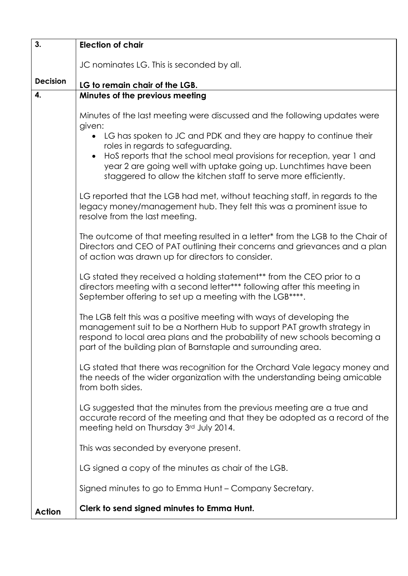| 3.              | <b>Election of chair</b>                                                                                                                                                                                                                                                                     |
|-----------------|----------------------------------------------------------------------------------------------------------------------------------------------------------------------------------------------------------------------------------------------------------------------------------------------|
|                 | JC nominates LG. This is seconded by all.                                                                                                                                                                                                                                                    |
| <b>Decision</b> | LG to remain chair of the LGB.                                                                                                                                                                                                                                                               |
| 4.              | Minutes of the previous meeting                                                                                                                                                                                                                                                              |
|                 | Minutes of the last meeting were discussed and the following updates were<br>given:                                                                                                                                                                                                          |
|                 | • LG has spoken to JC and PDK and they are happy to continue their<br>roles in regards to safeguarding.                                                                                                                                                                                      |
|                 | HoS reports that the school meal provisions for reception, year 1 and<br>$\bullet$<br>year 2 are going well with uptake going up. Lunchtimes have been<br>staggered to allow the kitchen staff to serve more efficiently.                                                                    |
|                 | LG reported that the LGB had met, without teaching staff, in regards to the<br>legacy money/management hub. They felt this was a prominent issue to<br>resolve from the last meeting.                                                                                                        |
|                 | The outcome of that meeting resulted in a letter* from the LGB to the Chair of<br>Directors and CEO of PAT outlining their concerns and grievances and a plan<br>of action was drawn up for directors to consider.                                                                           |
|                 | LG stated they received a holding statement** from the CEO prior to a<br>directors meeting with a second letter*** following after this meeting in<br>September offering to set up a meeting with the LGB****.                                                                               |
|                 | The LGB felt this was a positive meeting with ways of developing the<br>management suit to be a Northern Hub to support PAT growth strategy in<br>respond to local area plans and the probability of new schools becoming a<br>part of the building plan of Barnstaple and surrounding area. |
|                 | LG stated that there was recognition for the Orchard Vale legacy money and<br>the needs of the wider organization with the understanding being amicable<br>from both sides.                                                                                                                  |
|                 | LG suggested that the minutes from the previous meeting are a true and<br>accurate record of the meeting and that they be adopted as a record of the<br>meeting held on Thursday 3rd July 2014.                                                                                              |
|                 | This was seconded by everyone present.                                                                                                                                                                                                                                                       |
|                 | LG signed a copy of the minutes as chair of the LGB.                                                                                                                                                                                                                                         |
|                 | Signed minutes to go to Emma Hunt - Company Secretary.                                                                                                                                                                                                                                       |
| <b>Action</b>   | Clerk to send signed minutes to Emma Hunt.                                                                                                                                                                                                                                                   |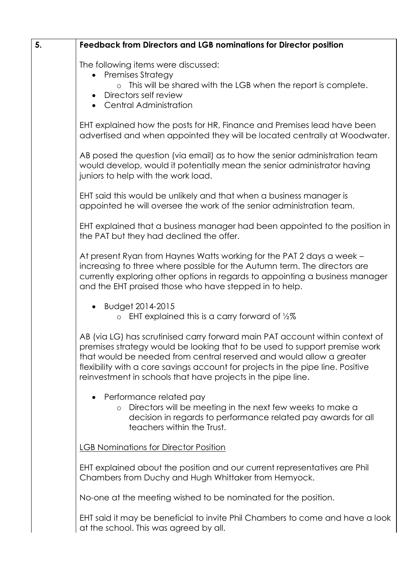| 5. | <b>Feedback from Directors and LGB nominations for Director position</b>                                                                                                                                                                                                                                                                                                              |
|----|---------------------------------------------------------------------------------------------------------------------------------------------------------------------------------------------------------------------------------------------------------------------------------------------------------------------------------------------------------------------------------------|
|    | The following items were discussed:<br>• Premises Strategy<br>o This will be shared with the LGB when the report is complete.<br>• Directors self review<br>• Central Administration                                                                                                                                                                                                  |
|    | EHT explained how the posts for HR, Finance and Premises lead have been<br>advertised and when appointed they will be located centrally at Woodwater.                                                                                                                                                                                                                                 |
|    | AB posed the question (via email) as to how the senior administration team<br>would develop, would it potentially mean the senior administrator having<br>juniors to help with the work load.                                                                                                                                                                                         |
|    | EHT said this would be unlikely and that when a business manager is<br>appointed he will oversee the work of the senior administration team.                                                                                                                                                                                                                                          |
|    | EHT explained that a business manager had been appointed to the position in<br>the PAT but they had declined the offer.                                                                                                                                                                                                                                                               |
|    | At present Ryan from Haynes Watts working for the PAT 2 days a week -<br>increasing to three where possible for the Autumn term. The directors are<br>currently exploring other options in regards to appointing a business manager<br>and the EHT praised those who have stepped in to help.                                                                                         |
|    | • Budget 2014-2015<br>o EHT explained this is a carry forward of $\frac{1}{2}\%$                                                                                                                                                                                                                                                                                                      |
|    | AB (via LG) has scrutinised carry forward main PAT account within context of<br>premises strategy would be looking that to be used to support premise work<br>that would be needed from central reserved and would allow a greater<br>flexibility with a core savings account for projects in the pipe line. Positive<br>reinvestment in schools that have projects in the pipe line. |
|    | Performance related pay<br>Directors will be meeting in the next few weeks to make a<br>decision in regards to performance related pay awards for all<br>teachers within the Trust.                                                                                                                                                                                                   |
|    | <b>LGB Nominations for Director Position</b>                                                                                                                                                                                                                                                                                                                                          |
|    | EHT explained about the position and our current representatives are Phil<br>Chambers from Duchy and Hugh Whittaker from Hemyock.                                                                                                                                                                                                                                                     |
|    | No-one at the meeting wished to be nominated for the position.                                                                                                                                                                                                                                                                                                                        |

EHT said it may be beneficial to invite Phil Chambers to come and have a look at the school. This was agreed by all.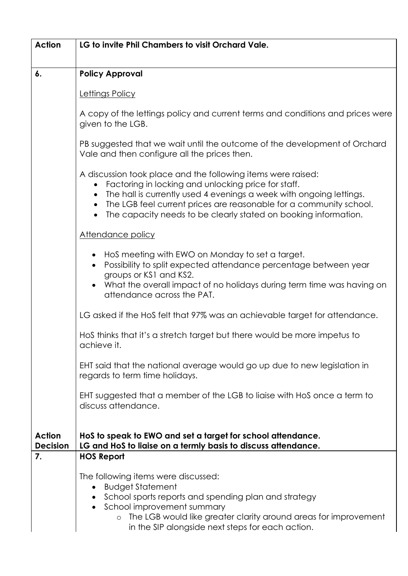| <b>Action</b>                    | LG to invite Phil Chambers to visit Orchard Vale.                                                                                                                                                                                                                                                                                   |
|----------------------------------|-------------------------------------------------------------------------------------------------------------------------------------------------------------------------------------------------------------------------------------------------------------------------------------------------------------------------------------|
| 6.                               | <b>Policy Approval</b>                                                                                                                                                                                                                                                                                                              |
|                                  | Lettings Policy                                                                                                                                                                                                                                                                                                                     |
|                                  | A copy of the lettings policy and current terms and conditions and prices were<br>given to the LGB.                                                                                                                                                                                                                                 |
|                                  | PB suggested that we wait until the outcome of the development of Orchard<br>Vale and then configure all the prices then.                                                                                                                                                                                                           |
|                                  | A discussion took place and the following items were raised:<br>Factoring in locking and unlocking price for staff.<br>The hall is currently used 4 evenings a week with ongoing lettings.<br>The LGB feel current prices are reasonable for a community school.<br>The capacity needs to be clearly stated on booking information. |
|                                  | Attendance policy                                                                                                                                                                                                                                                                                                                   |
|                                  | Hos meeting with EWO on Monday to set a target.<br>Possibility to split expected attendance percentage between year<br>groups or KS1 and KS2.<br>What the overall impact of no holidays during term time was having on<br>attendance across the PAT.                                                                                |
|                                  | LG asked if the HoS felt that 97% was an achievable target for attendance.                                                                                                                                                                                                                                                          |
|                                  | HoS thinks that it's a stretch target but there would be more impetus to<br>achieve it.                                                                                                                                                                                                                                             |
|                                  | EHT said that the national average would go up due to new legislation in<br>regards to term time holidays.                                                                                                                                                                                                                          |
|                                  | EHT suggested that a member of the LGB to liaise with HoS once a term to<br>discuss attendance.                                                                                                                                                                                                                                     |
| <b>Action</b><br><b>Decision</b> | Hos to speak to EWO and set a target for school attendance.<br>LG and HoS to liaise on a termly basis to discuss attendance.                                                                                                                                                                                                        |
| 7.                               | <b>HOS Report</b>                                                                                                                                                                                                                                                                                                                   |
|                                  | The following items were discussed:<br><b>Budget Statement</b><br>$\bullet$<br>School sports reports and spending plan and strategy<br>School improvement summary                                                                                                                                                                   |
|                                  | The LGB would like greater clarity around areas for improvement<br>$\circ$<br>in the SIP alongside next steps for each action.                                                                                                                                                                                                      |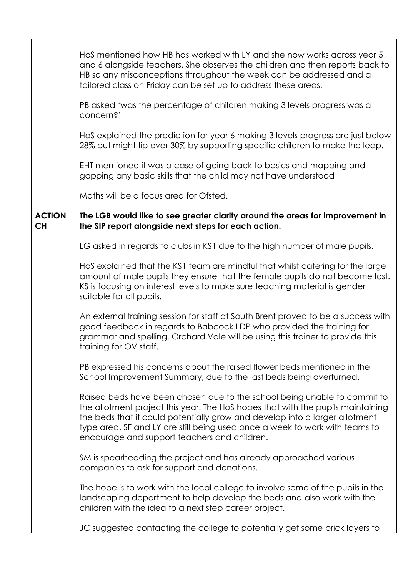|                            | HoS mentioned how HB has worked with LY and she now works across year 5<br>and 6 alongside teachers. She observes the children and then reports back to<br>HB so any misconceptions throughout the week can be addressed and a<br>tailored class on Friday can be set up to address these areas.                                                                          |
|----------------------------|---------------------------------------------------------------------------------------------------------------------------------------------------------------------------------------------------------------------------------------------------------------------------------------------------------------------------------------------------------------------------|
|                            | PB asked 'was the percentage of children making 3 levels progress was a<br>concern?'                                                                                                                                                                                                                                                                                      |
|                            | HoS explained the prediction for year 6 making 3 levels progress are just below<br>28% but might tip over 30% by supporting specific children to make the leap.                                                                                                                                                                                                           |
|                            | EHT mentioned it was a case of going back to basics and mapping and<br>gapping any basic skills that the child may not have understood                                                                                                                                                                                                                                    |
|                            | Maths will be a focus area for Ofsted.                                                                                                                                                                                                                                                                                                                                    |
| <b>ACTION</b><br><b>CH</b> | The LGB would like to see greater clarity around the areas for improvement in<br>the SIP report alongside next steps for each action.                                                                                                                                                                                                                                     |
|                            | LG asked in regards to clubs in KS1 due to the high number of male pupils.                                                                                                                                                                                                                                                                                                |
|                            | HoS explained that the KS1 team are mindful that whilst catering for the large<br>amount of male pupils they ensure that the female pupils do not become lost.<br>KS is focusing on interest levels to make sure teaching material is gender<br>suitable for all pupils.                                                                                                  |
|                            | An external training session for staff at South Brent proved to be a success with<br>good feedback in regards to Babcock LDP who provided the training for<br>grammar and spelling. Orchard Vale will be using this trainer to provide this<br>training for OV staff.                                                                                                     |
|                            | PB expressed his concerns about the raised flower beds mentioned in the<br>School Improvement Summary, due to the last beds being overturned.                                                                                                                                                                                                                             |
|                            | Raised beds have been chosen due to the school being unable to commit to<br>the allotment project this year. The HoS hopes that with the pupils maintaining<br>the beds that it could potentially grow and develop into a larger allotment<br>type area. SF and LY are still being used once a week to work with teams to<br>encourage and support teachers and children. |
|                            | SM is spearheading the project and has already approached various<br>companies to ask for support and donations.                                                                                                                                                                                                                                                          |
|                            | The hope is to work with the local college to involve some of the pupils in the<br>landscaping department to help develop the beds and also work with the<br>children with the idea to a next step career project.                                                                                                                                                        |
|                            | JC suggested contacting the college to potentially get some brick layers to                                                                                                                                                                                                                                                                                               |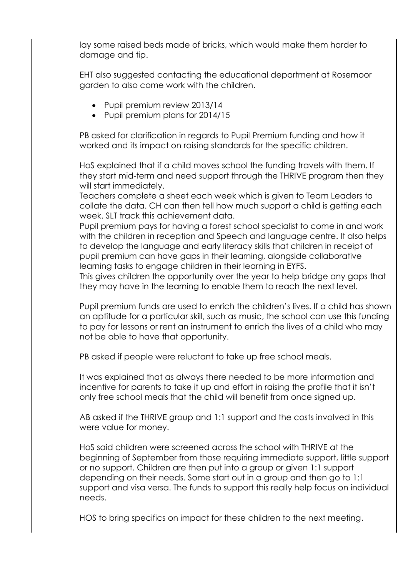lay some raised beds made of bricks, which would make them harder to damage and tip. EHT also suggested contacting the educational department at Rosemoor garden to also come work with the children. • Pupil premium review 2013/14 • Pupil premium plans for 2014/15 PB asked for clarification in regards to Pupil Premium funding and how it worked and its impact on raising standards for the specific children. HoS explained that if a child moves school the funding travels with them. If they start mid-term and need support through the THRIVE program then they will start immediately. Teachers complete a sheet each week which is given to Team Leaders to collate the data. CH can then tell how much support a child is getting each week. SLT track this achievement data. Pupil premium pays for having a forest school specialist to come in and work with the children in reception and Speech and language centre. It also helps to develop the language and early literacy skills that children in receipt of pupil premium can have gaps in their learning, alongside collaborative learning tasks to engage children in their learning in EYFS. This gives children the opportunity over the year to help bridge any gaps that they may have in the learning to enable them to reach the next level. Pupil premium funds are used to enrich the children's lives. If a child has shown an aptitude for a particular skill, such as music, the school can use this funding to pay for lessons or rent an instrument to enrich the lives of a child who may not be able to have that opportunity. PB asked if people were reluctant to take up free school meals. It was explained that as always there needed to be more information and incentive for parents to take it up and effort in raising the profile that it isn't only free school meals that the child will benefit from once signed up. AB asked if the THRIVE group and 1:1 support and the costs involved in this were value for money. HoS said children were screened across the school with THRIVE at the beginning of September from those requiring immediate support, little support or no support. Children are then put into a group or given 1:1 support depending on their needs. Some start out in a group and then go to 1:1 support and visa versa. The funds to support this really help focus on individual needs. HOS to bring specifics on impact for these children to the next meeting.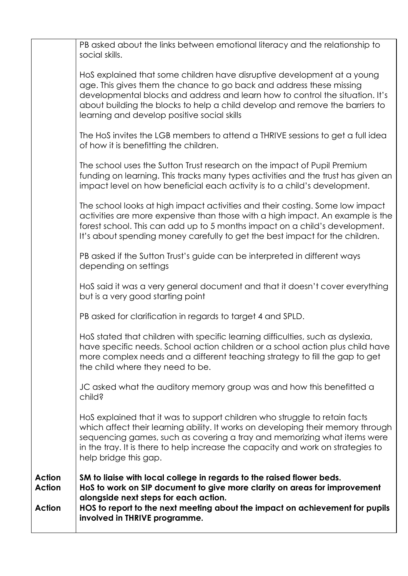| PB asked about the links between emotional literacy and the relationship to<br>social skills.                                                                                                                                                                                                                                                                   |
|-----------------------------------------------------------------------------------------------------------------------------------------------------------------------------------------------------------------------------------------------------------------------------------------------------------------------------------------------------------------|
| HoS explained that some children have disruptive development at a young<br>age. This gives them the chance to go back and address these missing<br>developmental blocks and address and learn how to control the situation. It's<br>about building the blocks to help a child develop and remove the barriers to<br>learning and develop positive social skills |
| The HoS invites the LGB members to attend a THRIVE sessions to get a full idea<br>of how it is benefitting the children.                                                                                                                                                                                                                                        |
| The school uses the Sutton Trust research on the impact of Pupil Premium<br>funding on learning. This tracks many types activities and the trust has given an<br>impact level on how beneficial each activity is to a child's development.                                                                                                                      |
| The school looks at high impact activities and their costing. Some low impact<br>activities are more expensive than those with a high impact. An example is the<br>forest school. This can add up to 5 months impact on a child's development.<br>It's about spending money carefully to get the best impact for the children.                                  |
| PB asked if the Sutton Trust's guide can be interpreted in different ways<br>depending on settings                                                                                                                                                                                                                                                              |
| HoS said it was a very general document and that it doesn't cover everything<br>but is a very good starting point                                                                                                                                                                                                                                               |
| PB asked for clarification in regards to target 4 and SPLD.                                                                                                                                                                                                                                                                                                     |
| HoS stated that children with specific learning difficulties, such as dyslexia,<br>have specific needs. School action children or a school action plus child have<br>more complex needs and a different teaching strategy to fill the gap to get<br>the child where they need to be.                                                                            |
| JC asked what the auditory memory group was and how this benefitted a<br>child?                                                                                                                                                                                                                                                                                 |
| Hos explained that it was to support children who struggle to retain facts<br>which affect their learning ability. It works on developing their memory through<br>sequencing games, such as covering a tray and memorizing what items were<br>in the tray. It is there to help increase the capacity and work on strategies to<br>help bridge this gap.         |
| SM to liaise with local college in regards to the raised flower beds.<br>HoS to work on SIP document to give more clarity on areas for improvement<br>alongside next steps for each action.<br>HOS to report to the next meeting about the impact on achievement for pupils<br>involved in THRIVE programme.                                                    |
|                                                                                                                                                                                                                                                                                                                                                                 |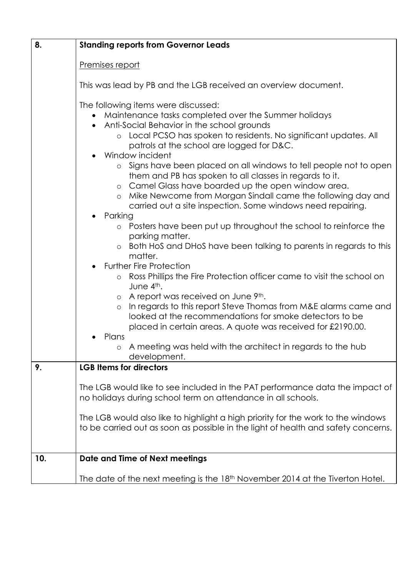| 8.  | <b>Standing reports from Governor Leads</b>                                                                                                                                                                                                                                                                                                                                                                                                                                                                                                                                                                                                                                                                                                                                                                                                                                                                                                                                                                                                                                                                                                                                                                                                                                                                                    |  |  |  |
|-----|--------------------------------------------------------------------------------------------------------------------------------------------------------------------------------------------------------------------------------------------------------------------------------------------------------------------------------------------------------------------------------------------------------------------------------------------------------------------------------------------------------------------------------------------------------------------------------------------------------------------------------------------------------------------------------------------------------------------------------------------------------------------------------------------------------------------------------------------------------------------------------------------------------------------------------------------------------------------------------------------------------------------------------------------------------------------------------------------------------------------------------------------------------------------------------------------------------------------------------------------------------------------------------------------------------------------------------|--|--|--|
|     | Premises report                                                                                                                                                                                                                                                                                                                                                                                                                                                                                                                                                                                                                                                                                                                                                                                                                                                                                                                                                                                                                                                                                                                                                                                                                                                                                                                |  |  |  |
|     | This was lead by PB and the LGB received an overview document.                                                                                                                                                                                                                                                                                                                                                                                                                                                                                                                                                                                                                                                                                                                                                                                                                                                                                                                                                                                                                                                                                                                                                                                                                                                                 |  |  |  |
|     | The following items were discussed:<br>Maintenance tasks completed over the Summer holidays<br>Anti-Social Behavior in the school grounds<br>Local PCSO has spoken to residents. No significant updates. All<br>$\circ$<br>patrols at the school are logged for D&C.<br>Window incident<br>Signs have been placed on all windows to tell people not to open<br>$\circ$<br>them and PB has spoken to all classes in regards to it.<br>o Camel Glass have boarded up the open window area.<br>Mike Newcome from Morgan Sindall came the following day and<br>$\circ$<br>carried out a site inspection. Some windows need repairing.<br>Parking<br>Posters have been put up throughout the school to reinforce the<br>$\circ$<br>parking matter.<br>Both HoS and DHoS have been talking to parents in regards to this<br>$\circ$<br>matter.<br><b>Further Fire Protection</b><br>Ross Phillips the Fire Protection officer came to visit the school on<br>$\circ$<br>June 4th.<br>o A report was received on June 9th.<br>In regards to this report Steve Thomas from M&E alarms came and<br>$\circ$<br>looked at the recommendations for smoke detectors to be<br>placed in certain areas. A quote was received for £2190.00.<br>Plans<br>A meeting was held with the architect in regards to the hub<br>$\circ$<br>development. |  |  |  |
| 9.  | <b>LGB Items for directors</b>                                                                                                                                                                                                                                                                                                                                                                                                                                                                                                                                                                                                                                                                                                                                                                                                                                                                                                                                                                                                                                                                                                                                                                                                                                                                                                 |  |  |  |
|     | The LGB would like to see included in the PAT performance data the impact of<br>no holidays during school term on attendance in all schools.<br>The LGB would also like to highlight a high priority for the work to the windows                                                                                                                                                                                                                                                                                                                                                                                                                                                                                                                                                                                                                                                                                                                                                                                                                                                                                                                                                                                                                                                                                               |  |  |  |
|     | to be carried out as soon as possible in the light of health and safety concerns.                                                                                                                                                                                                                                                                                                                                                                                                                                                                                                                                                                                                                                                                                                                                                                                                                                                                                                                                                                                                                                                                                                                                                                                                                                              |  |  |  |
| 10. | Date and Time of Next meetings                                                                                                                                                                                                                                                                                                                                                                                                                                                                                                                                                                                                                                                                                                                                                                                                                                                                                                                                                                                                                                                                                                                                                                                                                                                                                                 |  |  |  |
|     | The date of the next meeting is the 18 <sup>th</sup> November 2014 at the Tiverton Hotel.                                                                                                                                                                                                                                                                                                                                                                                                                                                                                                                                                                                                                                                                                                                                                                                                                                                                                                                                                                                                                                                                                                                                                                                                                                      |  |  |  |